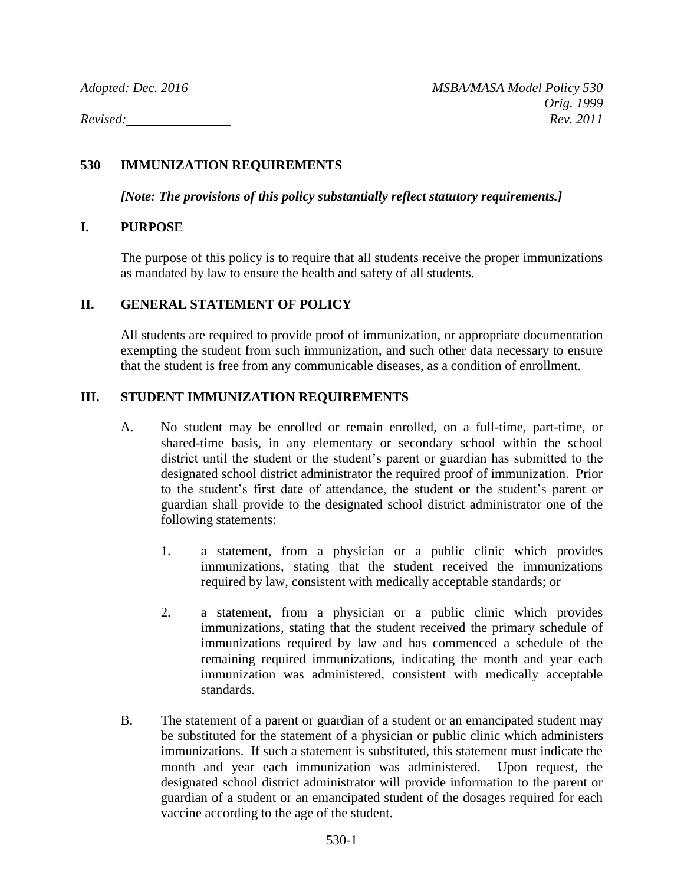# **530 IMMUNIZATION REQUIREMENTS**

*[Note: The provisions of this policy substantially reflect statutory requirements.]*

## **I. PURPOSE**

The purpose of this policy is to require that all students receive the proper immunizations as mandated by law to ensure the health and safety of all students.

## **II. GENERAL STATEMENT OF POLICY**

All students are required to provide proof of immunization, or appropriate documentation exempting the student from such immunization, and such other data necessary to ensure that the student is free from any communicable diseases, as a condition of enrollment.

## **III. STUDENT IMMUNIZATION REQUIREMENTS**

- A. No student may be enrolled or remain enrolled, on a full-time, part-time, or shared-time basis, in any elementary or secondary school within the school district until the student or the student's parent or guardian has submitted to the designated school district administrator the required proof of immunization. Prior to the student's first date of attendance, the student or the student's parent or guardian shall provide to the designated school district administrator one of the following statements:
	- 1. a statement, from a physician or a public clinic which provides immunizations, stating that the student received the immunizations required by law, consistent with medically acceptable standards; or
	- 2. a statement, from a physician or a public clinic which provides immunizations, stating that the student received the primary schedule of immunizations required by law and has commenced a schedule of the remaining required immunizations, indicating the month and year each immunization was administered, consistent with medically acceptable standards.
- B. The statement of a parent or guardian of a student or an emancipated student may be substituted for the statement of a physician or public clinic which administers immunizations. If such a statement is substituted, this statement must indicate the month and year each immunization was administered. Upon request, the designated school district administrator will provide information to the parent or guardian of a student or an emancipated student of the dosages required for each vaccine according to the age of the student.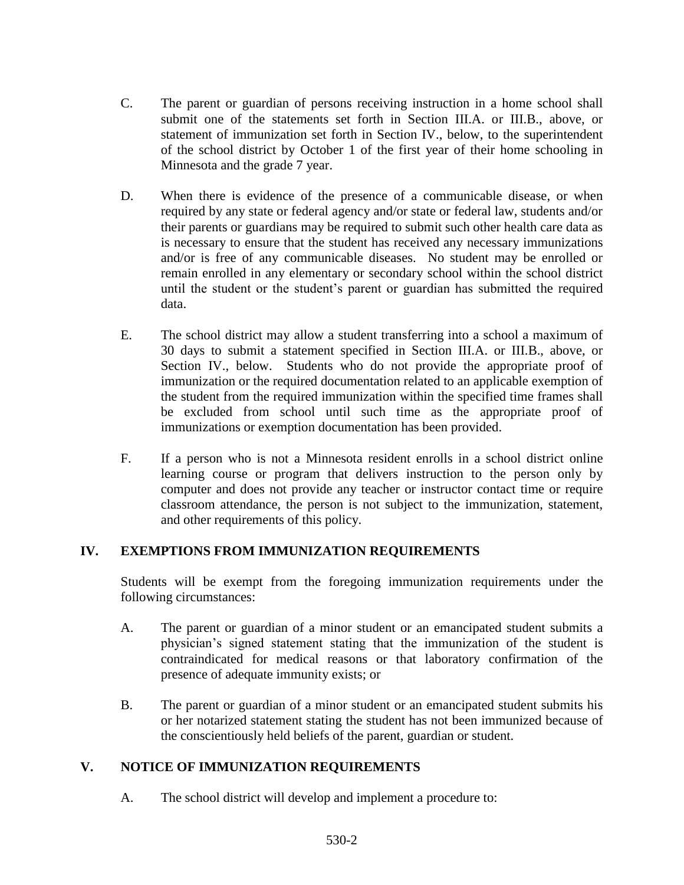- C. The parent or guardian of persons receiving instruction in a home school shall submit one of the statements set forth in Section III.A. or III.B., above, or statement of immunization set forth in Section IV., below, to the superintendent of the school district by October 1 of the first year of their home schooling in Minnesota and the grade 7 year.
- D. When there is evidence of the presence of a communicable disease, or when required by any state or federal agency and/or state or federal law, students and/or their parents or guardians may be required to submit such other health care data as is necessary to ensure that the student has received any necessary immunizations and/or is free of any communicable diseases. No student may be enrolled or remain enrolled in any elementary or secondary school within the school district until the student or the student's parent or guardian has submitted the required data.
- E. The school district may allow a student transferring into a school a maximum of 30 days to submit a statement specified in Section III.A. or III.B., above, or Section IV., below. Students who do not provide the appropriate proof of immunization or the required documentation related to an applicable exemption of the student from the required immunization within the specified time frames shall be excluded from school until such time as the appropriate proof of immunizations or exemption documentation has been provided.
- F. If a person who is not a Minnesota resident enrolls in a school district online learning course or program that delivers instruction to the person only by computer and does not provide any teacher or instructor contact time or require classroom attendance, the person is not subject to the immunization, statement, and other requirements of this policy.

## **IV. EXEMPTIONS FROM IMMUNIZATION REQUIREMENTS**

Students will be exempt from the foregoing immunization requirements under the following circumstances:

- A. The parent or guardian of a minor student or an emancipated student submits a physician's signed statement stating that the immunization of the student is contraindicated for medical reasons or that laboratory confirmation of the presence of adequate immunity exists; or
- B. The parent or guardian of a minor student or an emancipated student submits his or her notarized statement stating the student has not been immunized because of the conscientiously held beliefs of the parent, guardian or student.

## **V. NOTICE OF IMMUNIZATION REQUIREMENTS**

A. The school district will develop and implement a procedure to: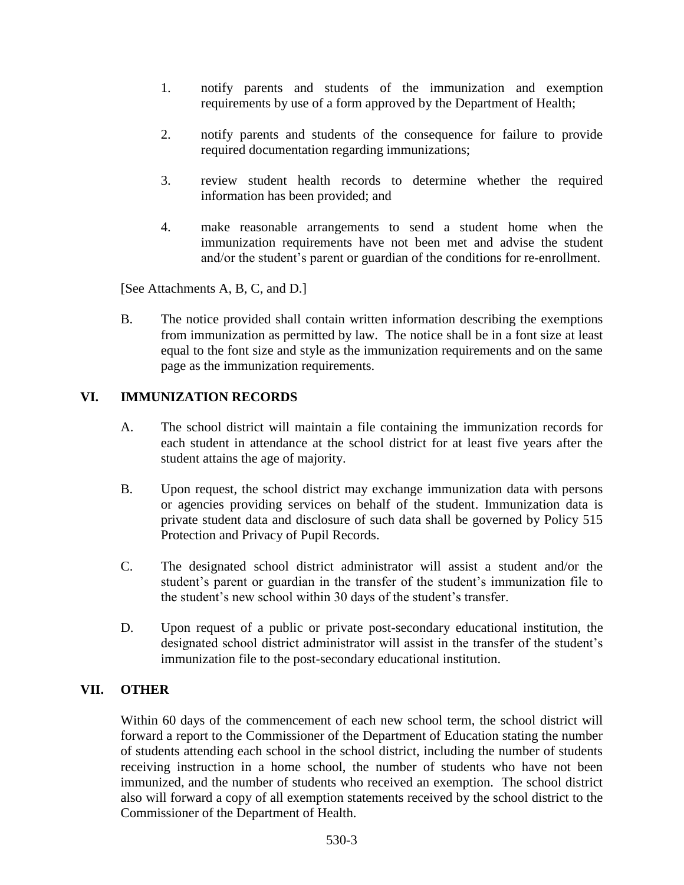- 1. notify parents and students of the immunization and exemption requirements by use of a form approved by the Department of Health;
- 2. notify parents and students of the consequence for failure to provide required documentation regarding immunizations;
- 3. review student health records to determine whether the required information has been provided; and
- 4. make reasonable arrangements to send a student home when the immunization requirements have not been met and advise the student and/or the student's parent or guardian of the conditions for re-enrollment.

[See Attachments A, B, C, and D.]

B. The notice provided shall contain written information describing the exemptions from immunization as permitted by law. The notice shall be in a font size at least equal to the font size and style as the immunization requirements and on the same page as the immunization requirements.

#### **VI. IMMUNIZATION RECORDS**

- A. The school district will maintain a file containing the immunization records for each student in attendance at the school district for at least five years after the student attains the age of majority.
- B. Upon request, the school district may exchange immunization data with persons or agencies providing services on behalf of the student. Immunization data is private student data and disclosure of such data shall be governed by Policy 515 Protection and Privacy of Pupil Records.
- C. The designated school district administrator will assist a student and/or the student's parent or guardian in the transfer of the student's immunization file to the student's new school within 30 days of the student's transfer.
- D. Upon request of a public or private post-secondary educational institution, the designated school district administrator will assist in the transfer of the student's immunization file to the post-secondary educational institution.

#### **VII. OTHER**

Within 60 days of the commencement of each new school term, the school district will forward a report to the Commissioner of the Department of Education stating the number of students attending each school in the school district, including the number of students receiving instruction in a home school, the number of students who have not been immunized, and the number of students who received an exemption. The school district also will forward a copy of all exemption statements received by the school district to the Commissioner of the Department of Health.